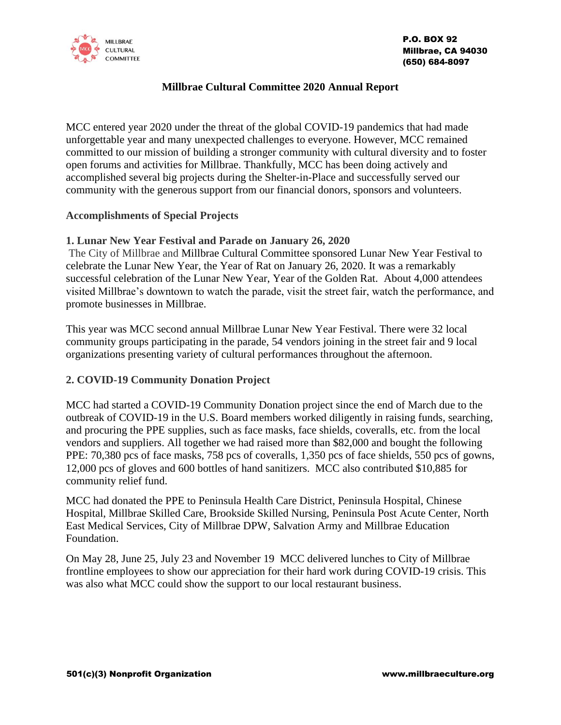

# **Millbrae Cultural Committee 2020 Annual Report**

MCC entered year 2020 under the threat of the global COVID-19 pandemics that had made unforgettable year and many unexpected challenges to everyone. However, MCC remained committed to our mission of building a stronger community with cultural diversity and to foster open forums and activities for Millbrae. Thankfully, MCC has been doing actively and accomplished several big projects during the Shelter-in-Place and successfully served our community with the generous support from our financial donors, sponsors and volunteers.

#### **Accomplishments of Special Projects**

## **1. Lunar New Year Festival and Parade on January 26, 2020**

The City of Millbrae and Millbrae Cultural Committee sponsored Lunar New Year Festival to celebrate the Lunar New Year, the Year of Rat on January 26, 2020. It was a remarkably successful celebration of the Lunar New Year, Year of the Golden Rat. About 4,000 attendees visited Millbrae's downtown to watch the parade, visit the street fair, watch the performance, and promote businesses in Millbrae.

This year was MCC second annual Millbrae Lunar New Year Festival. There were 32 local community groups participating in the parade, 54 vendors joining in the street fair and 9 local organizations presenting variety of cultural performances throughout the afternoon.

## **2. COVID-19 Community Donation Project**

MCC had started a COVID-19 Community Donation project since the end of March due to the outbreak of COVID-19 in the U.S. Board members worked diligently in raising funds, searching, and procuring the PPE supplies, such as face masks, face shields, coveralls, etc. from the local vendors and suppliers. All together we had raised more than \$82,000 and bought the following PPE: 70,380 pcs of face masks, 758 pcs of coveralls, 1,350 pcs of face shields, 550 pcs of gowns, 12,000 pcs of gloves and 600 bottles of hand sanitizers. MCC also contributed \$10,885 for community relief fund.

MCC had donated the PPE to Peninsula Health Care District, Peninsula Hospital, Chinese Hospital, Millbrae Skilled Care, Brookside Skilled Nursing, Peninsula Post Acute Center, North East Medical Services, City of Millbrae DPW, Salvation Army and Millbrae Education Foundation.

On May 28, June 25, July 23 and November 19 MCC delivered lunches to City of Millbrae frontline employees to show our appreciation for their hard work during COVID-19 crisis. This was also what MCC could show the support to our local restaurant business.